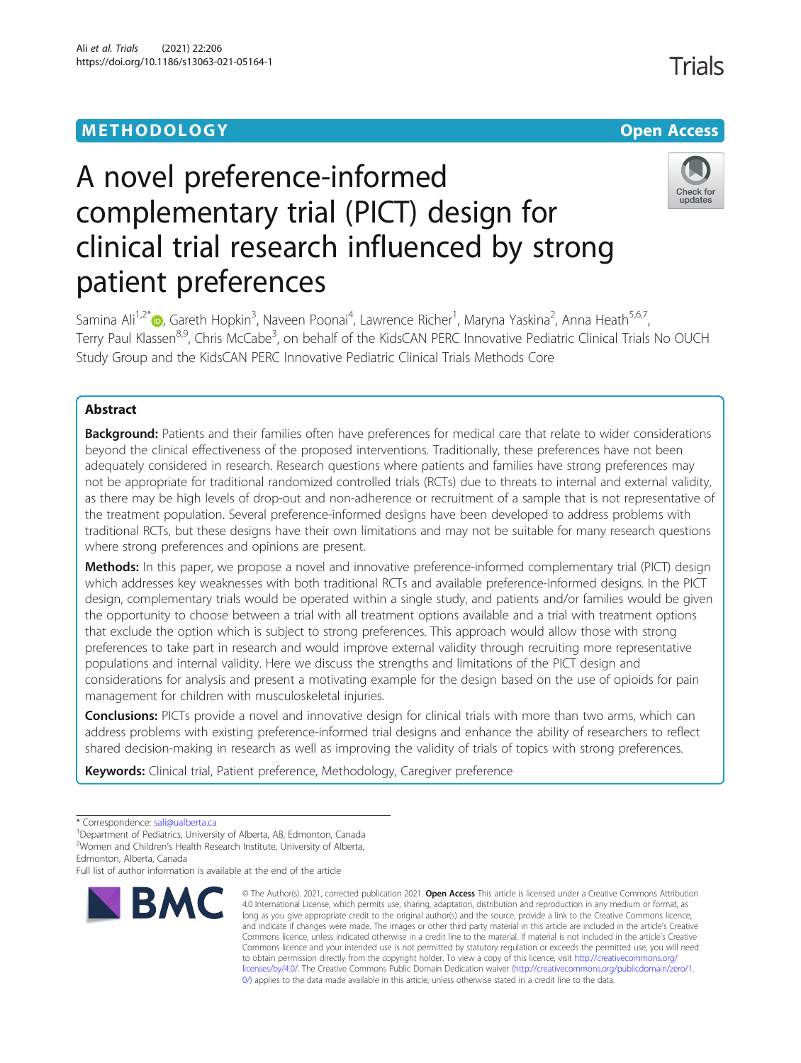# METHODOLOGY CHARGES AND THE SERVICE OPEN ACCESS

# **Trials**



# A novel preference-informed complementary trial (PICT) design for clinical trial research influenced by strong patient preferences

Samina Ali<sup>1,2[\\*](http://orcid.org/0000-0002-0595-364X)</sup>®, Gareth Hopkin<sup>3</sup>, Naveen Poonai<sup>4</sup>, Lawrence Richer<sup>1</sup>, Maryna Yaskina<sup>2</sup>, Anna Heath<sup>5,6,7</sup>, Terry Paul Klassen<sup>8,9</sup>, Chris McCabe<sup>3</sup>, on behalf of the KidsCAN PERC Innovative Pediatric Clinical Trials No OUCH Study Group and the KidsCAN PERC Innovative Pediatric Clinical Trials Methods Core

## Abstract

Background: Patients and their families often have preferences for medical care that relate to wider considerations beyond the clinical effectiveness of the proposed interventions. Traditionally, these preferences have not been adequately considered in research. Research questions where patients and families have strong preferences may not be appropriate for traditional randomized controlled trials (RCTs) due to threats to internal and external validity, as there may be high levels of drop-out and non-adherence or recruitment of a sample that is not representative of the treatment population. Several preference-informed designs have been developed to address problems with traditional RCTs, but these designs have their own limitations and may not be suitable for many research questions where strong preferences and opinions are present.

Methods: In this paper, we propose a novel and innovative preference-informed complementary trial (PICT) design which addresses key weaknesses with both traditional RCTs and available preference-informed designs. In the PICT design, complementary trials would be operated within a single study, and patients and/or families would be given the opportunity to choose between a trial with all treatment options available and a trial with treatment options that exclude the option which is subject to strong preferences. This approach would allow those with strong preferences to take part in research and would improve external validity through recruiting more representative populations and internal validity. Here we discuss the strengths and limitations of the PICT design and considerations for analysis and present a motivating example for the design based on the use of opioids for pain management for children with musculoskeletal injuries.

**Conclusions:** PICTs provide a novel and innovative design for clinical trials with more than two arms, which can address problems with existing preference-informed trial designs and enhance the ability of researchers to reflect shared decision-making in research as well as improving the validity of trials of topics with strong preferences.

Keywords: Clinical trial, Patient preference, Methodology, Caregiver preference

Edmonton, Alberta, Canada

Full list of author information is available at the end of the article



<sup>©</sup> The Author(s). 2021, corrected publication 2021. Open Access This article is licensed under a Creative Commons Attribution 4.0 International License, which permits use, sharing, adaptation, distribution and reproduction in any medium or format, as long as you give appropriate credit to the original author(s) and the source, provide a link to the Creative Commons licence, and indicate if changes were made. The images or other third party material in this article are included in the article's Creative Commons licence, unless indicated otherwise in a credit line to the material. If material is not included in the article's Creative Commons licence and your intended use is not permitted by statutory regulation or exceeds the permitted use, you will need to obtain permission directly from the copyright holder. To view a copy of this licence, visit [http://creativecommons.org/](http://creativecommons.org/licenses/by/4.0/) [licenses/by/4.0/.](http://creativecommons.org/licenses/by/4.0/) The Creative Commons Public Domain Dedication waiver ([http://creativecommons.org/publicdomain/zero/1.](http://creativecommons.org/publicdomain/zero/1.0/) [0/\)](http://creativecommons.org/publicdomain/zero/1.0/) applies to the data made available in this article, unless otherwise stated in a credit line to the data.

<sup>\*</sup> Correspondence: [sali@ualberta.ca](mailto:sali@ualberta.ca)<br><sup>1</sup>Department of Pediatrics, University of Alberta, AB, Edmonton, Canada

<sup>&</sup>lt;sup>2</sup>Women and Children's Health Research Institute, University of Alberta,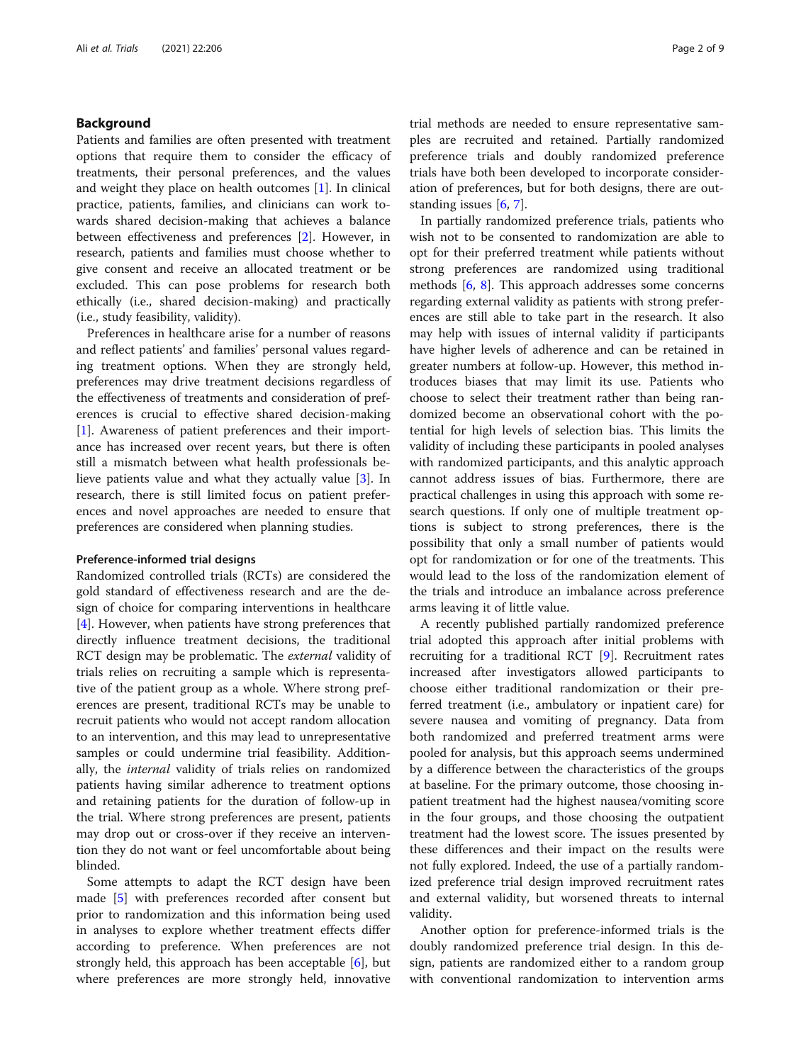#### Background

Patients and families are often presented with treatment options that require them to consider the efficacy of treatments, their personal preferences, and the values and weight they place on health outcomes [[1\]](#page-7-0). In clinical practice, patients, families, and clinicians can work towards shared decision-making that achieves a balance between effectiveness and preferences [[2](#page-7-0)]. However, in research, patients and families must choose whether to give consent and receive an allocated treatment or be excluded. This can pose problems for research both ethically (i.e., shared decision-making) and practically (i.e., study feasibility, validity).

Preferences in healthcare arise for a number of reasons and reflect patients' and families' personal values regarding treatment options. When they are strongly held, preferences may drive treatment decisions regardless of the effectiveness of treatments and consideration of preferences is crucial to effective shared decision-making [[1\]](#page-7-0). Awareness of patient preferences and their importance has increased over recent years, but there is often still a mismatch between what health professionals believe patients value and what they actually value [[3\]](#page-7-0). In research, there is still limited focus on patient preferences and novel approaches are needed to ensure that preferences are considered when planning studies.

#### Preference-informed trial designs

Randomized controlled trials (RCTs) are considered the gold standard of effectiveness research and are the design of choice for comparing interventions in healthcare [[4\]](#page-7-0). However, when patients have strong preferences that directly influence treatment decisions, the traditional RCT design may be problematic. The *external* validity of trials relies on recruiting a sample which is representative of the patient group as a whole. Where strong preferences are present, traditional RCTs may be unable to recruit patients who would not accept random allocation to an intervention, and this may lead to unrepresentative samples or could undermine trial feasibility. Additionally, the *internal* validity of trials relies on randomized patients having similar adherence to treatment options and retaining patients for the duration of follow-up in the trial. Where strong preferences are present, patients may drop out or cross-over if they receive an intervention they do not want or feel uncomfortable about being blinded.

Some attempts to adapt the RCT design have been made [\[5](#page-7-0)] with preferences recorded after consent but prior to randomization and this information being used in analyses to explore whether treatment effects differ according to preference. When preferences are not strongly held, this approach has been acceptable [\[6](#page-7-0)], but where preferences are more strongly held, innovative trial methods are needed to ensure representative samples are recruited and retained. Partially randomized preference trials and doubly randomized preference trials have both been developed to incorporate consideration of preferences, but for both designs, there are outstanding issues [\[6,](#page-7-0) [7\]](#page-7-0).

In partially randomized preference trials, patients who wish not to be consented to randomization are able to opt for their preferred treatment while patients without strong preferences are randomized using traditional methods [[6,](#page-7-0) [8](#page-7-0)]. This approach addresses some concerns regarding external validity as patients with strong preferences are still able to take part in the research. It also may help with issues of internal validity if participants have higher levels of adherence and can be retained in greater numbers at follow-up. However, this method introduces biases that may limit its use. Patients who choose to select their treatment rather than being randomized become an observational cohort with the potential for high levels of selection bias. This limits the validity of including these participants in pooled analyses with randomized participants, and this analytic approach cannot address issues of bias. Furthermore, there are practical challenges in using this approach with some research questions. If only one of multiple treatment options is subject to strong preferences, there is the possibility that only a small number of patients would opt for randomization or for one of the treatments. This would lead to the loss of the randomization element of the trials and introduce an imbalance across preference arms leaving it of little value.

A recently published partially randomized preference trial adopted this approach after initial problems with recruiting for a traditional RCT [[9\]](#page-7-0). Recruitment rates increased after investigators allowed participants to choose either traditional randomization or their preferred treatment (i.e., ambulatory or inpatient care) for severe nausea and vomiting of pregnancy. Data from both randomized and preferred treatment arms were pooled for analysis, but this approach seems undermined by a difference between the characteristics of the groups at baseline. For the primary outcome, those choosing inpatient treatment had the highest nausea/vomiting score in the four groups, and those choosing the outpatient treatment had the lowest score. The issues presented by these differences and their impact on the results were not fully explored. Indeed, the use of a partially randomized preference trial design improved recruitment rates and external validity, but worsened threats to internal validity.

Another option for preference-informed trials is the doubly randomized preference trial design. In this design, patients are randomized either to a random group with conventional randomization to intervention arms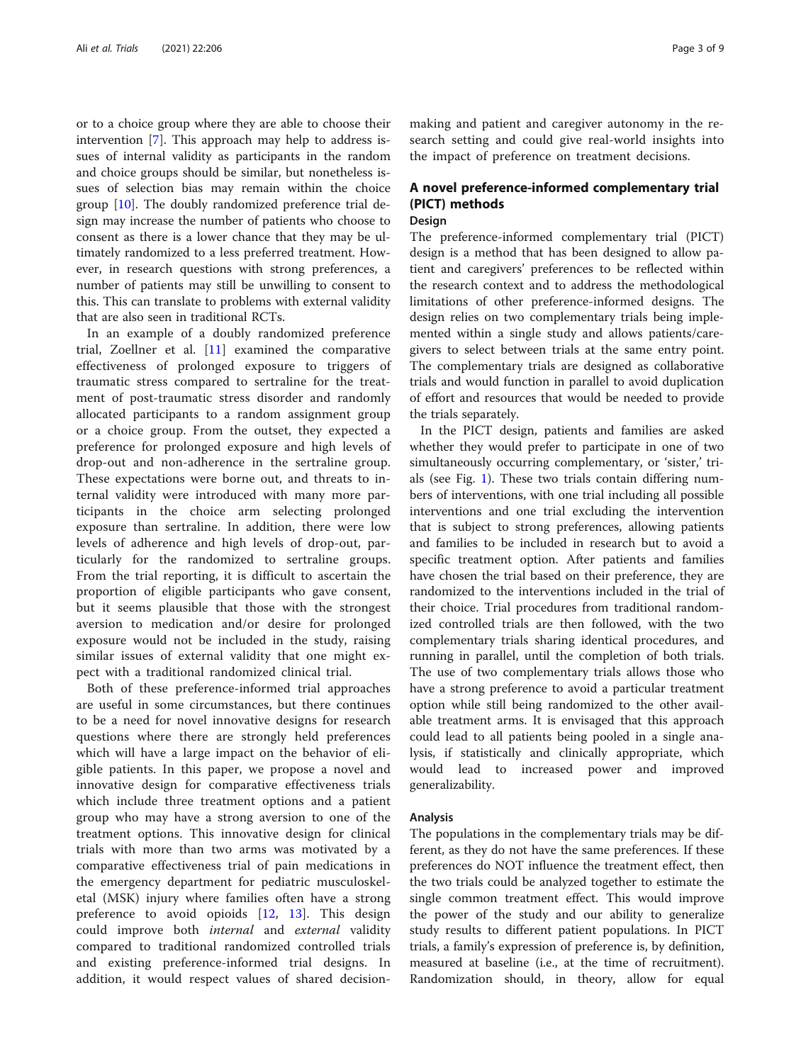or to a choice group where they are able to choose their intervention [[7\]](#page-7-0). This approach may help to address issues of internal validity as participants in the random and choice groups should be similar, but nonetheless issues of selection bias may remain within the choice group [[10\]](#page-7-0). The doubly randomized preference trial design may increase the number of patients who choose to consent as there is a lower chance that they may be ultimately randomized to a less preferred treatment. However, in research questions with strong preferences, a number of patients may still be unwilling to consent to this. This can translate to problems with external validity that are also seen in traditional RCTs.

In an example of a doubly randomized preference trial, Zoellner et al. [\[11](#page-7-0)] examined the comparative effectiveness of prolonged exposure to triggers of traumatic stress compared to sertraline for the treatment of post-traumatic stress disorder and randomly allocated participants to a random assignment group or a choice group. From the outset, they expected a preference for prolonged exposure and high levels of drop-out and non-adherence in the sertraline group. These expectations were borne out, and threats to internal validity were introduced with many more participants in the choice arm selecting prolonged exposure than sertraline. In addition, there were low levels of adherence and high levels of drop-out, particularly for the randomized to sertraline groups. From the trial reporting, it is difficult to ascertain the proportion of eligible participants who gave consent, but it seems plausible that those with the strongest aversion to medication and/or desire for prolonged exposure would not be included in the study, raising similar issues of external validity that one might expect with a traditional randomized clinical trial.

Both of these preference-informed trial approaches are useful in some circumstances, but there continues to be a need for novel innovative designs for research questions where there are strongly held preferences which will have a large impact on the behavior of eligible patients. In this paper, we propose a novel and innovative design for comparative effectiveness trials which include three treatment options and a patient group who may have a strong aversion to one of the treatment options. This innovative design for clinical trials with more than two arms was motivated by a comparative effectiveness trial of pain medications in the emergency department for pediatric musculoskeletal (MSK) injury where families often have a strong preference to avoid opioids [[12,](#page-7-0) [13\]](#page-7-0). This design could improve both *internal* and *external* validity compared to traditional randomized controlled trials and existing preference-informed trial designs. In addition, it would respect values of shared decisionmaking and patient and caregiver autonomy in the research setting and could give real-world insights into the impact of preference on treatment decisions.

# A novel preference-informed complementary trial (PICT) methods

### Design

The preference-informed complementary trial (PICT) design is a method that has been designed to allow patient and caregivers' preferences to be reflected within the research context and to address the methodological limitations of other preference-informed designs. The design relies on two complementary trials being implemented within a single study and allows patients/caregivers to select between trials at the same entry point. The complementary trials are designed as collaborative trials and would function in parallel to avoid duplication of effort and resources that would be needed to provide the trials separately.

In the PICT design, patients and families are asked whether they would prefer to participate in one of two simultaneously occurring complementary, or 'sister,' trials (see Fig. [1\)](#page-3-0). These two trials contain differing numbers of interventions, with one trial including all possible interventions and one trial excluding the intervention that is subject to strong preferences, allowing patients and families to be included in research but to avoid a specific treatment option. After patients and families have chosen the trial based on their preference, they are randomized to the interventions included in the trial of their choice. Trial procedures from traditional randomized controlled trials are then followed, with the two complementary trials sharing identical procedures, and running in parallel, until the completion of both trials. The use of two complementary trials allows those who have a strong preference to avoid a particular treatment option while still being randomized to the other available treatment arms. It is envisaged that this approach could lead to all patients being pooled in a single analysis, if statistically and clinically appropriate, which would lead to increased power and improved generalizability.

#### Analysis

The populations in the complementary trials may be different, as they do not have the same preferences. If these preferences do NOT influence the treatment effect, then the two trials could be analyzed together to estimate the single common treatment effect. This would improve the power of the study and our ability to generalize study results to different patient populations. In PICT trials, a family's expression of preference is, by definition, measured at baseline (i.e., at the time of recruitment). Randomization should, in theory, allow for equal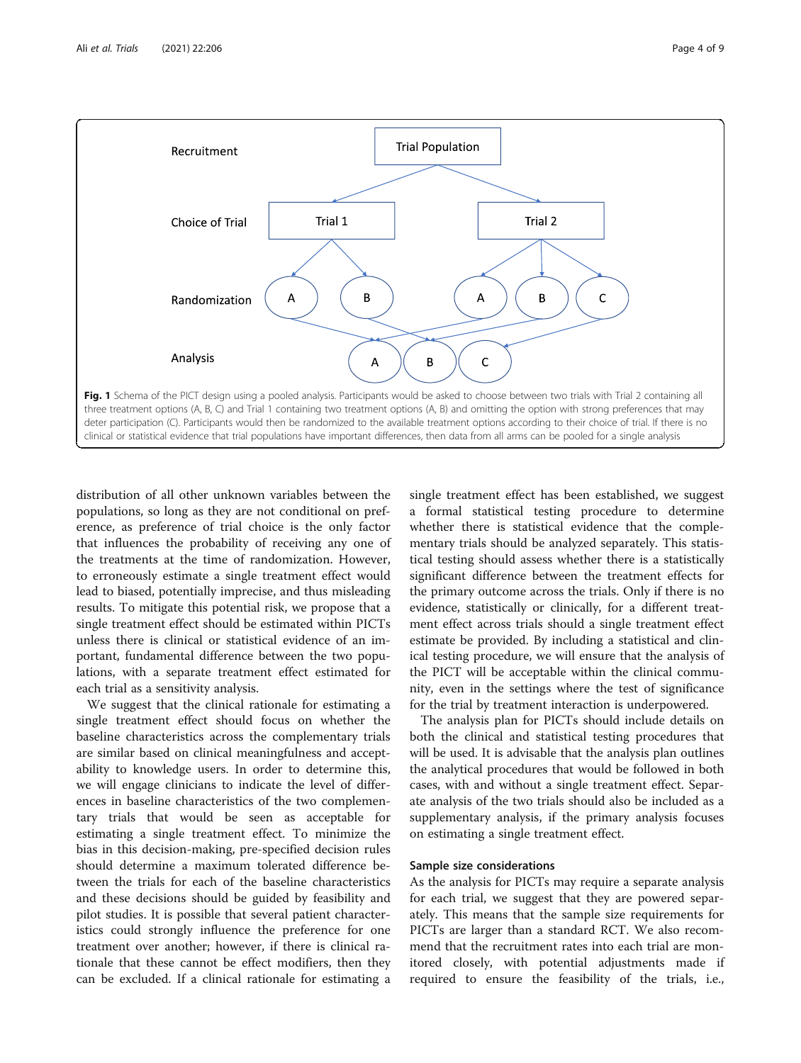<span id="page-3-0"></span>

distribution of all other unknown variables between the populations, so long as they are not conditional on preference, as preference of trial choice is the only factor that influences the probability of receiving any one of the treatments at the time of randomization. However, to erroneously estimate a single treatment effect would lead to biased, potentially imprecise, and thus misleading results. To mitigate this potential risk, we propose that a single treatment effect should be estimated within PICTs unless there is clinical or statistical evidence of an important, fundamental difference between the two populations, with a separate treatment effect estimated for each trial as a sensitivity analysis.

We suggest that the clinical rationale for estimating a single treatment effect should focus on whether the baseline characteristics across the complementary trials are similar based on clinical meaningfulness and acceptability to knowledge users. In order to determine this, we will engage clinicians to indicate the level of differences in baseline characteristics of the two complementary trials that would be seen as acceptable for estimating a single treatment effect. To minimize the bias in this decision-making, pre-specified decision rules should determine a maximum tolerated difference between the trials for each of the baseline characteristics and these decisions should be guided by feasibility and pilot studies. It is possible that several patient characteristics could strongly influence the preference for one treatment over another; however, if there is clinical rationale that these cannot be effect modifiers, then they can be excluded. If a clinical rationale for estimating a

single treatment effect has been established, we suggest a formal statistical testing procedure to determine whether there is statistical evidence that the complementary trials should be analyzed separately. This statistical testing should assess whether there is a statistically significant difference between the treatment effects for the primary outcome across the trials. Only if there is no evidence, statistically or clinically, for a different treatment effect across trials should a single treatment effect estimate be provided. By including a statistical and clinical testing procedure, we will ensure that the analysis of the PICT will be acceptable within the clinical community, even in the settings where the test of significance for the trial by treatment interaction is underpowered.

The analysis plan for PICTs should include details on both the clinical and statistical testing procedures that will be used. It is advisable that the analysis plan outlines the analytical procedures that would be followed in both cases, with and without a single treatment effect. Separate analysis of the two trials should also be included as a supplementary analysis, if the primary analysis focuses on estimating a single treatment effect.

#### Sample size considerations

As the analysis for PICTs may require a separate analysis for each trial, we suggest that they are powered separately. This means that the sample size requirements for PICTs are larger than a standard RCT. We also recommend that the recruitment rates into each trial are monitored closely, with potential adjustments made if required to ensure the feasibility of the trials, i.e.,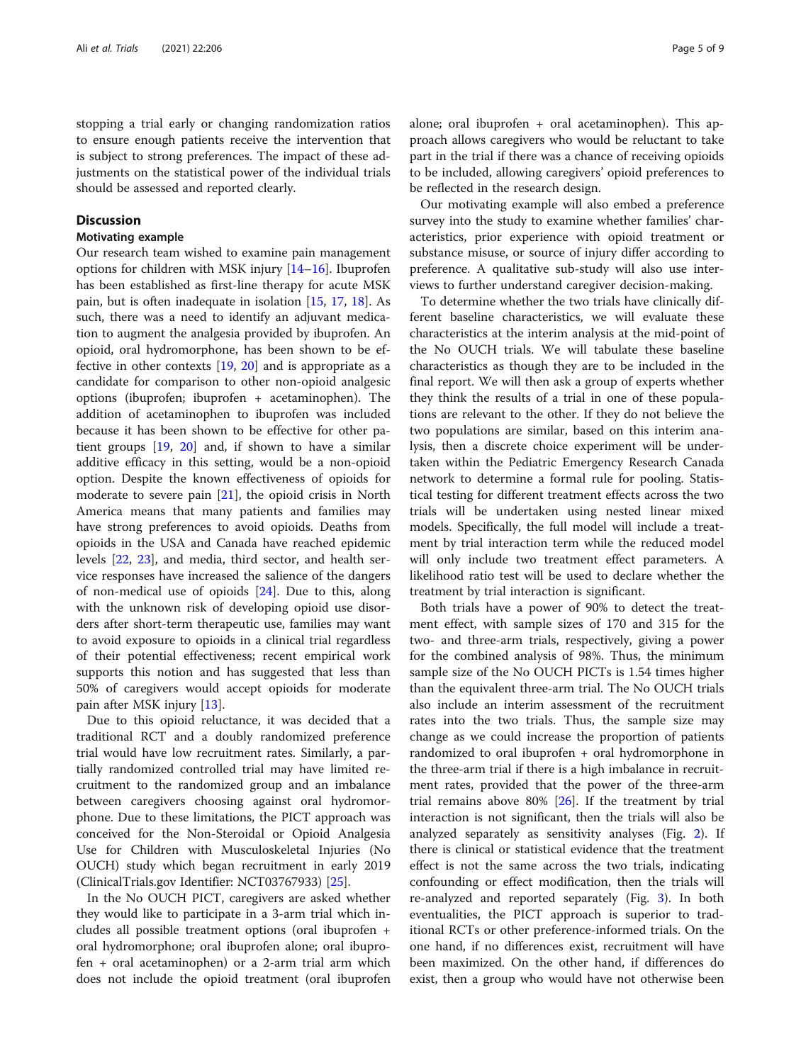stopping a trial early or changing randomization ratios to ensure enough patients receive the intervention that is subject to strong preferences. The impact of these adjustments on the statistical power of the individual trials should be assessed and reported clearly.

#### **Discussion**

#### Motivating example

Our research team wished to examine pain management options for children with MSK injury [\[14](#page-7-0)–[16\]](#page-7-0). Ibuprofen has been established as first-line therapy for acute MSK pain, but is often inadequate in isolation [[15,](#page-7-0) [17,](#page-7-0) [18](#page-7-0)]. As such, there was a need to identify an adjuvant medication to augment the analgesia provided by ibuprofen. An opioid, oral hydromorphone, has been shown to be effective in other contexts [[19,](#page-7-0) [20](#page-7-0)] and is appropriate as a candidate for comparison to other non-opioid analgesic options (ibuprofen; ibuprofen + acetaminophen). The addition of acetaminophen to ibuprofen was included because it has been shown to be effective for other patient groups [[19](#page-7-0), [20](#page-7-0)] and, if shown to have a similar additive efficacy in this setting, would be a non-opioid option. Despite the known effectiveness of opioids for moderate to severe pain  $[21]$  $[21]$ , the opioid crisis in North America means that many patients and families may have strong preferences to avoid opioids. Deaths from opioids in the USA and Canada have reached epidemic levels [\[22,](#page-7-0) [23](#page-7-0)], and media, third sector, and health service responses have increased the salience of the dangers of non-medical use of opioids [[24\]](#page-7-0). Due to this, along with the unknown risk of developing opioid use disorders after short-term therapeutic use, families may want to avoid exposure to opioids in a clinical trial regardless of their potential effectiveness; recent empirical work supports this notion and has suggested that less than 50% of caregivers would accept opioids for moderate pain after MSK injury [\[13](#page-7-0)].

Due to this opioid reluctance, it was decided that a traditional RCT and a doubly randomized preference trial would have low recruitment rates. Similarly, a partially randomized controlled trial may have limited recruitment to the randomized group and an imbalance between caregivers choosing against oral hydromorphone. Due to these limitations, the PICT approach was conceived for the Non-Steroidal or Opioid Analgesia Use for Children with Musculoskeletal Injuries (No OUCH) study which began recruitment in early 2019 (ClinicalTrials.gov Identifier: NCT03767933) [[25\]](#page-8-0).

In the No OUCH PICT, caregivers are asked whether they would like to participate in a 3-arm trial which includes all possible treatment options (oral ibuprofen + oral hydromorphone; oral ibuprofen alone; oral ibuprofen + oral acetaminophen) or a 2-arm trial arm which does not include the opioid treatment (oral ibuprofen

alone; oral ibuprofen + oral acetaminophen). This approach allows caregivers who would be reluctant to take part in the trial if there was a chance of receiving opioids to be included, allowing caregivers' opioid preferences to be reflected in the research design.

Our motivating example will also embed a preference survey into the study to examine whether families' characteristics, prior experience with opioid treatment or substance misuse, or source of injury differ according to preference. A qualitative sub-study will also use interviews to further understand caregiver decision-making.

To determine whether the two trials have clinically different baseline characteristics, we will evaluate these characteristics at the interim analysis at the mid-point of the No OUCH trials. We will tabulate these baseline characteristics as though they are to be included in the final report. We will then ask a group of experts whether they think the results of a trial in one of these populations are relevant to the other. If they do not believe the two populations are similar, based on this interim analysis, then a discrete choice experiment will be undertaken within the Pediatric Emergency Research Canada network to determine a formal rule for pooling. Statistical testing for different treatment effects across the two trials will be undertaken using nested linear mixed models. Specifically, the full model will include a treatment by trial interaction term while the reduced model will only include two treatment effect parameters. A likelihood ratio test will be used to declare whether the treatment by trial interaction is significant.

Both trials have a power of 90% to detect the treatment effect, with sample sizes of 170 and 315 for the two- and three-arm trials, respectively, giving a power for the combined analysis of 98%. Thus, the minimum sample size of the No OUCH PICTs is 1.54 times higher than the equivalent three-arm trial. The No OUCH trials also include an interim assessment of the recruitment rates into the two trials. Thus, the sample size may change as we could increase the proportion of patients randomized to oral ibuprofen + oral hydromorphone in the three-arm trial if there is a high imbalance in recruitment rates, provided that the power of the three-arm trial remains above  $80\%$  [\[26](#page-8-0)]. If the treatment by trial interaction is not significant, then the trials will also be analyzed separately as sensitivity analyses (Fig. [2](#page-5-0)). If there is clinical or statistical evidence that the treatment effect is not the same across the two trials, indicating confounding or effect modification, then the trials will re-analyzed and reported separately (Fig. [3\)](#page-5-0). In both eventualities, the PICT approach is superior to traditional RCTs or other preference-informed trials. On the one hand, if no differences exist, recruitment will have been maximized. On the other hand, if differences do exist, then a group who would have not otherwise been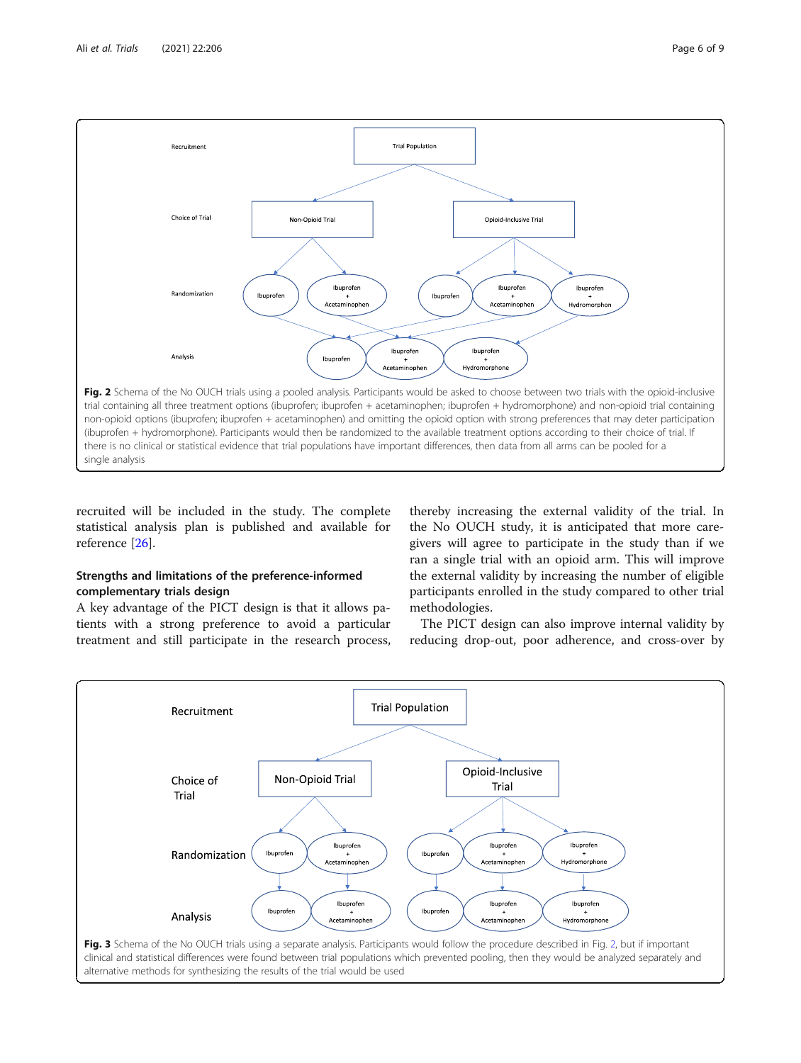<span id="page-5-0"></span>

recruited will be included in the study. The complete statistical analysis plan is published and available for reference [\[26](#page-8-0)].

### Strengths and limitations of the preference-informed complementary trials design

A key advantage of the PICT design is that it allows patients with a strong preference to avoid a particular treatment and still participate in the research process,

thereby increasing the external validity of the trial. In the No OUCH study, it is anticipated that more caregivers will agree to participate in the study than if we ran a single trial with an opioid arm. This will improve the external validity by increasing the number of eligible participants enrolled in the study compared to other trial methodologies.

The PICT design can also improve internal validity by reducing drop-out, poor adherence, and cross-over by

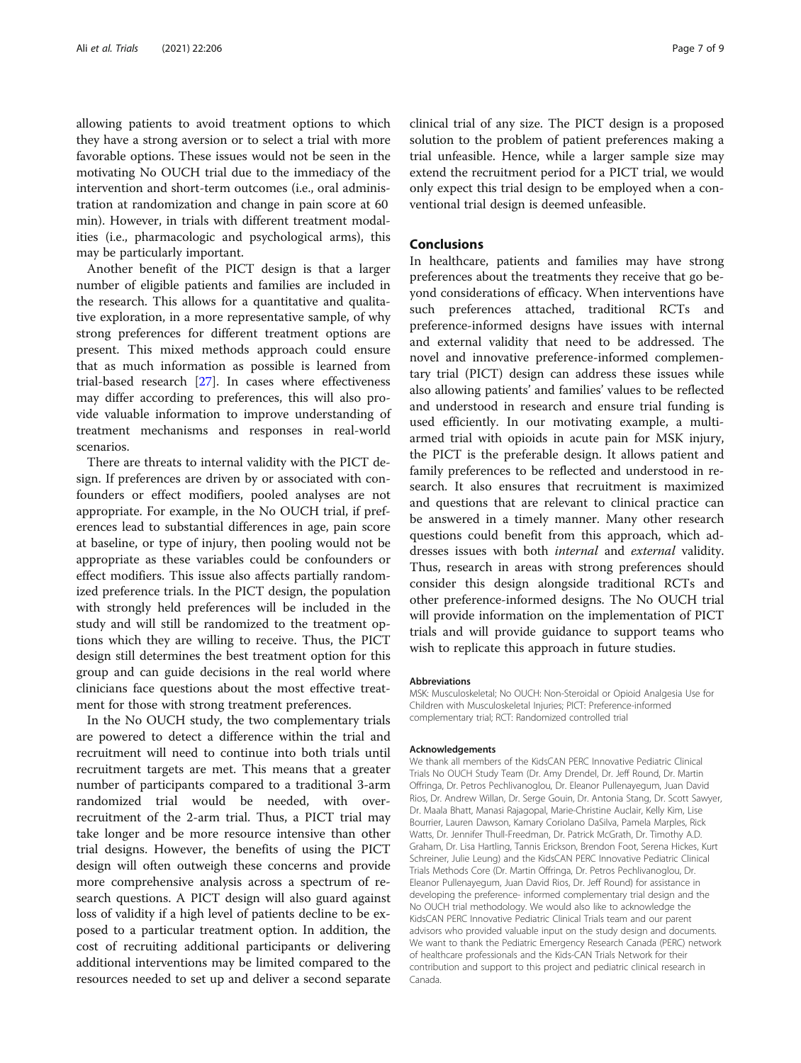allowing patients to avoid treatment options to which they have a strong aversion or to select a trial with more favorable options. These issues would not be seen in the motivating No OUCH trial due to the immediacy of the intervention and short-term outcomes (i.e., oral administration at randomization and change in pain score at 60 min). However, in trials with different treatment modalities (i.e., pharmacologic and psychological arms), this may be particularly important.

Another benefit of the PICT design is that a larger number of eligible patients and families are included in the research. This allows for a quantitative and qualitative exploration, in a more representative sample, of why strong preferences for different treatment options are present. This mixed methods approach could ensure that as much information as possible is learned from trial-based research [[27\]](#page-8-0). In cases where effectiveness may differ according to preferences, this will also provide valuable information to improve understanding of treatment mechanisms and responses in real-world scenarios.

There are threats to internal validity with the PICT design. If preferences are driven by or associated with confounders or effect modifiers, pooled analyses are not appropriate. For example, in the No OUCH trial, if preferences lead to substantial differences in age, pain score at baseline, or type of injury, then pooling would not be appropriate as these variables could be confounders or effect modifiers. This issue also affects partially randomized preference trials. In the PICT design, the population with strongly held preferences will be included in the study and will still be randomized to the treatment options which they are willing to receive. Thus, the PICT design still determines the best treatment option for this group and can guide decisions in the real world where clinicians face questions about the most effective treatment for those with strong treatment preferences.

In the No OUCH study, the two complementary trials are powered to detect a difference within the trial and recruitment will need to continue into both trials until recruitment targets are met. This means that a greater number of participants compared to a traditional 3-arm randomized trial would be needed, with overrecruitment of the 2-arm trial. Thus, a PICT trial may take longer and be more resource intensive than other trial designs. However, the benefits of using the PICT design will often outweigh these concerns and provide more comprehensive analysis across a spectrum of research questions. A PICT design will also guard against loss of validity if a high level of patients decline to be exposed to a particular treatment option. In addition, the cost of recruiting additional participants or delivering additional interventions may be limited compared to the resources needed to set up and deliver a second separate

clinical trial of any size. The PICT design is a proposed solution to the problem of patient preferences making a trial unfeasible. Hence, while a larger sample size may extend the recruitment period for a PICT trial, we would only expect this trial design to be employed when a conventional trial design is deemed unfeasible.

#### Conclusions

In healthcare, patients and families may have strong preferences about the treatments they receive that go beyond considerations of efficacy. When interventions have such preferences attached, traditional RCTs and preference-informed designs have issues with internal and external validity that need to be addressed. The novel and innovative preference-informed complementary trial (PICT) design can address these issues while also allowing patients' and families' values to be reflected and understood in research and ensure trial funding is used efficiently. In our motivating example, a multiarmed trial with opioids in acute pain for MSK injury, the PICT is the preferable design. It allows patient and family preferences to be reflected and understood in research. It also ensures that recruitment is maximized and questions that are relevant to clinical practice can be answered in a timely manner. Many other research questions could benefit from this approach, which addresses issues with both internal and external validity. Thus, research in areas with strong preferences should consider this design alongside traditional RCTs and other preference-informed designs. The No OUCH trial will provide information on the implementation of PICT trials and will provide guidance to support teams who wish to replicate this approach in future studies.

#### Abbreviations

MSK: Musculoskeletal; No OUCH: Non-Steroidal or Opioid Analgesia Use for Children with Musculoskeletal Injuries; PICT: Preference-informed complementary trial; RCT: Randomized controlled trial

#### Acknowledgements

We thank all members of the KidsCAN PERC Innovative Pediatric Clinical Trials No OUCH Study Team (Dr. Amy Drendel, Dr. Jeff Round, Dr. Martin Offringa, Dr. Petros Pechlivanoglou, Dr. Eleanor Pullenayegum, Juan David Rios, Dr. Andrew Willan, Dr. Serge Gouin, Dr. Antonia Stang, Dr. Scott Sawyer, Dr. Maala Bhatt, Manasi Rajagopal, Marie-Christine Auclair, Kelly Kim, Lise Bourrier, Lauren Dawson, Kamary Coriolano DaSilva, Pamela Marples, Rick Watts, Dr. Jennifer Thull-Freedman, Dr. Patrick McGrath, Dr. Timothy A.D. Graham, Dr. Lisa Hartling, Tannis Erickson, Brendon Foot, Serena Hickes, Kurt Schreiner, Julie Leung) and the KidsCAN PERC Innovative Pediatric Clinical Trials Methods Core (Dr. Martin Offringa, Dr. Petros Pechlivanoglou, Dr. Eleanor Pullenayegum, Juan David Rios, Dr. Jeff Round) for assistance in developing the preference- informed complementary trial design and the No OUCH trial methodology. We would also like to acknowledge the KidsCAN PERC Innovative Pediatric Clinical Trials team and our parent advisors who provided valuable input on the study design and documents. We want to thank the Pediatric Emergency Research Canada (PERC) network of healthcare professionals and the Kids-CAN Trials Network for their contribution and support to this project and pediatric clinical research in Canada.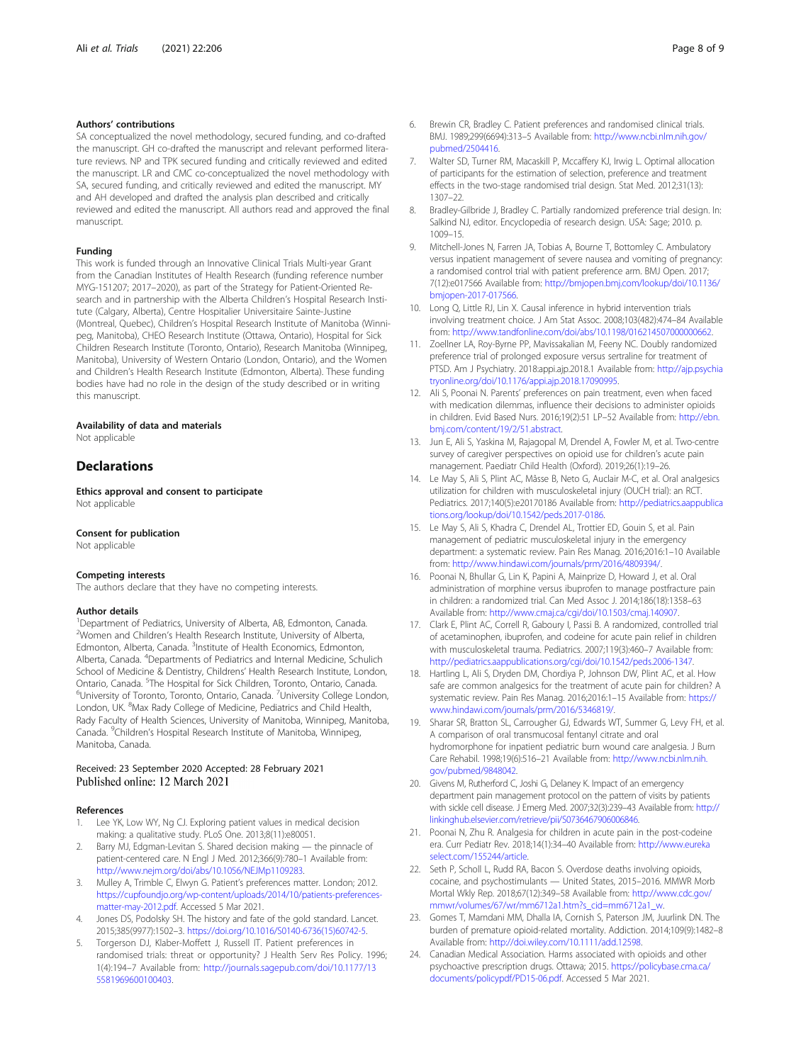#### <span id="page-7-0"></span>Authors' contributions

SA conceptualized the novel methodology, secured funding, and co-drafted the manuscript. GH co-drafted the manuscript and relevant performed literature reviews. NP and TPK secured funding and critically reviewed and edited the manuscript. LR and CMC co-conceptualized the novel methodology with SA, secured funding, and critically reviewed and edited the manuscript. MY and AH developed and drafted the analysis plan described and critically reviewed and edited the manuscript. All authors read and approved the final manuscript.

#### Funding

This work is funded through an Innovative Clinical Trials Multi-year Grant from the Canadian Institutes of Health Research (funding reference number MYG-151207; 2017–2020), as part of the Strategy for Patient-Oriented Research and in partnership with the Alberta Children's Hospital Research Institute (Calgary, Alberta), Centre Hospitalier Universitaire Sainte-Justine (Montreal, Quebec), Children's Hospital Research Institute of Manitoba (Winnipeg, Manitoba), CHEO Research Institute (Ottawa, Ontario), Hospital for Sick Children Research Institute (Toronto, Ontario), Research Manitoba (Winnipeg, Manitoba), University of Western Ontario (London, Ontario), and the Women and Children's Health Research Institute (Edmonton, Alberta). These funding bodies have had no role in the design of the study described or in writing this manuscript.

#### Availability of data and materials Not applicable

#### **Declarations**

Ethics approval and consent to participate Not applicable

#### Consent for publication

Not applicable

#### Competing interests

The authors declare that they have no competing interests.

#### Author details

<sup>1</sup>Department of Pediatrics, University of Alberta, AB, Edmonton, Canada. <sup>2</sup>Women and Children's Health Research Institute, University of Alberta, Edmonton, Alberta, Canada. <sup>3</sup>Institute of Health Economics, Edmonton, Alberta, Canada. <sup>4</sup>Departments of Pediatrics and Internal Medicine, Schulich School of Medicine & Dentistry, Childrens' Health Research Institute, London, Ontario, Canada. <sup>5</sup>The Hospital for Sick Children, Toronto, Ontario, Canada.<br><sup>6</sup>Llaiversity of Toronto, Toronto, Ontario, Canada. <sup>7</sup>Llaiversity Collogo Lond University of Toronto, Toronto, Ontario, Canada. <sup>7</sup>University College London, London, UK. <sup>8</sup>Max Rady College of Medicine, Pediatrics and Child Health, Rady Faculty of Health Sciences, University of Manitoba, Winnipeg, Manitoba, Canada. <sup>9</sup>Children's Hospital Research Institute of Manitoba, Winnipeg, Manitoba, Canada.

#### Received: 23 September 2020 Accepted: 28 February 2021 Published online: 12 March 2021

#### References

- 1. Lee YK, Low WY, Ng CJ. Exploring patient values in medical decision making: a qualitative study. PLoS One. 2013;8(11):e80051.
- Barry MJ, Edgman-Levitan S. Shared decision making the pinnacle of patient-centered care. N Engl J Med. 2012;366(9):780–1 Available from: [http://www.nejm.org/doi/abs/10.1056/NEJMp1109283](http://dx.doi.org/10.1056/NEJMp1109283).
- 3. Mulley A, Trimble C, Elwyn G. Patient's preferences matter. London; 2012. [https://cupfoundjo.org/wp-content/uploads/2014/10/patients-preferences](https://cupfoundjo.org/wp-content/uploads/2014/10/patients-preferences-matter-may-2012.pdf)[matter-may-2012.pdf](https://cupfoundjo.org/wp-content/uploads/2014/10/patients-preferences-matter-may-2012.pdf). Accessed 5 Mar 2021.
- 4. Jones DS, Podolsky SH. The history and fate of the gold standard. Lancet. 2015;385(9977):1502–3. [https://doi.org/10.1016/S0140-6736\(15\)60742-5](https://doi.org/10.1016/S0140-6736(15)60742-5).
- Torgerson DJ, Klaber-Moffett J, Russell IT. Patient preferences in randomised trials: threat or opportunity? J Health Serv Res Policy. 1996; 1(4):194–7 Available from: [http://journals.sagepub.com/doi/10.1177/13](http://dx.doi.org/10.1177/135581969600100403) [5581969600100403.](http://dx.doi.org/10.1177/135581969600100403)
- 6. Brewin CR, Bradley C. Patient preferences and randomised clinical trials. BMJ. 1989;299(6694):313–5 Available from: [http://www.ncbi.nlm.nih.gov/](http://www.ncbi.nlm.nih.gov/pubmed/2504416) [pubmed/2504416.](http://www.ncbi.nlm.nih.gov/pubmed/2504416)
- 7. Walter SD, Turner RM, Macaskill P, Mccaffery KJ, Irwig L. Optimal allocation of participants for the estimation of selection, preference and treatment effects in the two-stage randomised trial design. Stat Med. 2012;31(13): 1307–22.
- 8. Bradley-Gilbride J, Bradley C. Partially randomized preference trial design. In: Salkind NJ, editor. Encyclopedia of research design. USA: Sage; 2010. p. 1009–15.
- 9. Mitchell-Jones N, Farren JA, Tobias A, Bourne T, Bottomley C. Ambulatory versus inpatient management of severe nausea and vomiting of pregnancy: a randomised control trial with patient preference arm. BMJ Open. 2017; 7(12):e017566 Available from: [http://bmjopen.bmj.com/lookup/doi/10.1136/](http://dx.doi.org/10.1136/bmjopen-2017-017566) [bmjopen-2017-017566.](http://dx.doi.org/10.1136/bmjopen-2017-017566)
- 10. Long Q, Little RJ, Lin X. Causal inference in hybrid intervention trials involving treatment choice. J Am Stat Assoc. 2008;103(482):474–84 Available from: [http://www.tandfonline.com/doi/abs/10.1198/016214507000000662](http://dx.doi.org/10.1198/016214507000000662).
- 11. Zoellner LA, Roy-Byrne PP, Mavissakalian M, Feeny NC. Doubly randomized preference trial of prolonged exposure versus sertraline for treatment of PTSD. Am J Psychiatry. 2018:appi.ajp.2018.1 Available from: [http://ajp.psychia](http://dx.doi.org/10.1176/appi.ajp.2018.17090995) [tryonline.org/doi/10.1176/appi.ajp.2018.17090995](http://dx.doi.org/10.1176/appi.ajp.2018.17090995).
- 12. Ali S, Poonai N. Parents' preferences on pain treatment, even when faced with medication dilemmas, influence their decisions to administer opioids in children. Evid Based Nurs. 2016;19(2):51 LP–52 Available from: [http://ebn.](http://ebn.bmj.com/content/19/2/51.abstract) [bmj.com/content/19/2/51.abstract](http://ebn.bmj.com/content/19/2/51.abstract).
- 13. Jun E, Ali S, Yaskina M, Rajagopal M, Drendel A, Fowler M, et al. Two-centre survey of caregiver perspectives on opioid use for children's acute pain management. Paediatr Child Health (Oxford). 2019;26(1):19–26.
- 14. Le May S, Ali S, Plint AC, Mâsse B, Neto G, Auclair M-C, et al. Oral analgesics utilization for children with musculoskeletal injury (OUCH trial): an RCT. Pediatrics. 2017;140(5):e20170186 Available from: [http://pediatrics.aappublica](http://dx.doi.org/10.1542/peds.2017-0186) [tions.org/lookup/doi/10.1542/peds.2017-0186.](http://dx.doi.org/10.1542/peds.2017-0186)
- 15. Le May S, Ali S, Khadra C, Drendel AL, Trottier ED, Gouin S, et al. Pain management of pediatric musculoskeletal injury in the emergency department: a systematic review. Pain Res Manag. 2016;2016:1–10 Available from: <http://www.hindawi.com/journals/prm/2016/4809394/>.
- 16. Poonai N, Bhullar G, Lin K, Papini A, Mainprize D, Howard J, et al. Oral administration of morphine versus ibuprofen to manage postfracture pain in children: a randomized trial. Can Med Assoc J. 2014;186(18):1358–63 Available from: [http://www.cmaj.ca/cgi/doi/10.1503/cmaj.140907](http://dx.doi.org/10.1503/cmaj.140907).
- 17. Clark E, Plint AC, Correll R, Gaboury I, Passi B. A randomized, controlled trial of acetaminophen, ibuprofen, and codeine for acute pain relief in children with musculoskeletal trauma. Pediatrics. 2007;119(3):460–7 Available from: [http://pediatrics.aappublications.org/cgi/doi/10.1542/peds.2006-1347](http://dx.doi.org/10.1542/peds.2006-1347).
- 18. Hartling L, Ali S, Dryden DM, Chordiya P, Johnson DW, Plint AC, et al. How safe are common analgesics for the treatment of acute pain for children? A systematic review. Pain Res Manag. 2016;2016:1–15 Available from: [https://](https://www.hindawi.com/journals/prm/2016/5346819/) [www.hindawi.com/journals/prm/2016/5346819/](https://www.hindawi.com/journals/prm/2016/5346819/).
- 19. Sharar SR, Bratton SL, Carrougher GJ, Edwards WT, Summer G, Levy FH, et al. A comparison of oral transmucosal fentanyl citrate and oral hydromorphone for inpatient pediatric burn wound care analgesia. J Burn Care Rehabil. 1998;19(6):516–21 Available from: [http://www.ncbi.nlm.nih.](http://www.ncbi.nlm.nih.gov/pubmed/9848042) [gov/pubmed/9848042.](http://www.ncbi.nlm.nih.gov/pubmed/9848042)
- 20. Givens M, Rutherford C, Joshi G, Delaney K. Impact of an emergency department pain management protocol on the pattern of visits by patients with sickle cell disease. J Emerg Med. 2007;32(3):239–43 Available from: [http://](http://linkinghub.elsevier.com/retrieve/pii/S0736467906006846) [linkinghub.elsevier.com/retrieve/pii/S0736467906006846](http://linkinghub.elsevier.com/retrieve/pii/S0736467906006846).
- 21. Poonai N, Zhu R. Analgesia for children in acute pain in the post-codeine era. Curr Pediatr Rev. 2018;14(1):34–40 Available from: [http://www.eureka](http://www.eurekaselect.com/155244/article) [select.com/155244/article](http://www.eurekaselect.com/155244/article).
- 22. Seth P, Scholl L, Rudd RA, Bacon S. Overdose deaths involving opioids, cocaine, and psychostimulants — United States, 2015–2016. MMWR Morb Mortal Wkly Rep. 2018;67(12):349–58 Available from: [http://www.cdc.gov/](http://www.cdc.gov/mmwr/volumes/67/wr/mm6712a1.htm?s_cid=mm6712a1_w) [mmwr/volumes/67/wr/mm6712a1.htm?s\\_cid=mm6712a1\\_w](http://www.cdc.gov/mmwr/volumes/67/wr/mm6712a1.htm?s_cid=mm6712a1_w).
- 23. Gomes T, Mamdani MM, Dhalla IA, Cornish S, Paterson JM, Juurlink DN. The burden of premature opioid-related mortality. Addiction. 2014;109(9):1482–8 Available from: [http://doi.wiley.com/10.1111/add.12598.](http://dx.doi.org/10.1111/add.12598)
- 24. Canadian Medical Association. Harms associated with opioids and other psychoactive prescription drugs. Ottawa; 2015. [https://policybase.cma.ca/](https://policybase.cma.ca/documents/policypdf/PD15-06.pdf) [documents/policypdf/PD15-06.pdf.](https://policybase.cma.ca/documents/policypdf/PD15-06.pdf) Accessed 5 Mar 2021.